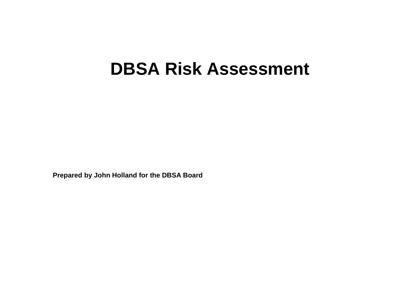## **DBSA Risk Assessment**

**Prepared by John Holland for the DBSA Board**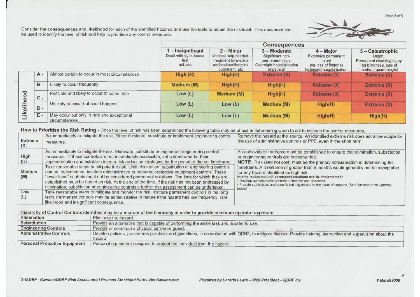Consider the consequences and likelihood for each of the identified hazards and use the table to obtain the risk level. This document can be used to identify the level of risk and help to prioritise any control measures.



|           |       |                                                             |                                                                  |                                                                                                         | Consequences                                                                                    |                                                                                                   |                                                                                                               |
|-----------|-------|-------------------------------------------------------------|------------------------------------------------------------------|---------------------------------------------------------------------------------------------------------|-------------------------------------------------------------------------------------------------|---------------------------------------------------------------------------------------------------|---------------------------------------------------------------------------------------------------------------|
|           |       |                                                             | $-$ Insignificant<br>Dealt with by in-house<br>first<br>aid, etc | $2 -$ Minor<br>Medical help needed.<br>Treatment by medical<br>professional/hospital<br>outpatient etc. | 3-Moderate<br>Significant non-<br>permanent injury.<br>Overnight hospitalisation<br>(inpatient) | $4 -$ Major<br>Extensive permanent<br>injury<br>(eg loss of finger/s)<br>Extended hospitalisation | 5 - Catastrophic<br>Death.<br>Permanent disabling injury<br>(eg blindness, loss of<br>hand/s, - quadriplegia) |
|           | $A -$ | Almost certain to occur in most circumstances               | High (H)                                                         | High(H)                                                                                                 | Extreme(X)                                                                                      | Extreme(X)                                                                                        | Extreme (X)                                                                                                   |
| ikelihood | $B -$ | Likely to occur frequently                                  | Medium (M)                                                       | High(H)                                                                                                 | High(H)                                                                                         | Extreme(X)                                                                                        | Extreme (X)                                                                                                   |
|           | $c -$ | Possible and likely to occur at some time                   | Low(L)                                                           | Medium (M)                                                                                              | High(H)                                                                                         | Extreme (X)                                                                                       | Extreme (X)                                                                                                   |
|           | $D -$ | Unlikely to occur but could happen                          | Low(L)                                                           | Low (L)                                                                                                 | Medium (M)                                                                                      | High(H)                                                                                           | Extreme (X)                                                                                                   |
|           | E -   | May occur but only in rare and exceptional<br>circumstances | Low(L)                                                           | Low $(L)$                                                                                               | Medium (M)                                                                                      | High(H)                                                                                           | High(H)                                                                                                       |

How to Prioritise the Risk Rating - Once the level of risk has been determined the following table may be of use in determining when to act to institute the control measures.

| <b>Extreme</b><br>(X) | Act immediately to mitigate the risk. Either eliminate, substitute or implement engineering control<br>measures.                                                                                                                                                                                                                                                                                                                                                                                             | Remove the hazard at the source. An identified extreme risk does not allow scope for<br>the use of administrative controls or PPE, even in the short term.                                                                                                                                                                                                                             |
|-----------------------|--------------------------------------------------------------------------------------------------------------------------------------------------------------------------------------------------------------------------------------------------------------------------------------------------------------------------------------------------------------------------------------------------------------------------------------------------------------------------------------------------------------|----------------------------------------------------------------------------------------------------------------------------------------------------------------------------------------------------------------------------------------------------------------------------------------------------------------------------------------------------------------------------------------|
| High<br>(H)           | Act immediately to mitigate the risk. Eliminate, substitute or implement engineering control<br>measures. If these controls are not immediately accessible, set a timeframe for their<br>implementation and establish interim risk reduction strategies for the period of the set timeframe.                                                                                                                                                                                                                 | An achievable timeframe must be established to ensure that elimination, substitution<br>or engineering controls are implemented.<br>NOTE: Risk (and not cost) must be the primary consideration in determining the                                                                                                                                                                     |
| Medium<br>(M)         | Take reasonable steps to mitigate the risk. Until elimination, substitution or engineering controls<br>can be implemented, institute administrative or personal protective equipment controls. These<br>'lower level' controls must not be considered permanent solutions. The time for which they are<br>established must be based on risk. At the end of the time, if the risk has not been addressed by<br>elimination, substitution or engineering controls a further risk assessment can be undertaken. | timeframe. A timeframe of greater than 6 months would generally not be acceptable<br>for any hazard identified as high risk.<br>Interim measures until permanent solutions can be implemented:<br>· Develop administrative controls to limit the use or access.<br>· Provide supervision and specific training related to the issue of concern. (See Administrative Controls<br>below) |
| Low<br>(L)            | Take reasonable steps to mitigate and monitor the risk. Institute permanent controls in the long<br>term. Permanent controls may be administrative in nature if the hazard has low frequency, rare<br>likelihood and insignificant consequence.                                                                                                                                                                                                                                                              |                                                                                                                                                                                                                                                                                                                                                                                        |

## Hierarchy of Control Controls identified may be a mixture of the hierarchy in order to provide minimum operator exposure.

| Elimination                          | Eliminate the hazard                                                                                                                                                       |
|--------------------------------------|----------------------------------------------------------------------------------------------------------------------------------------------------------------------------|
| Substitution                         | Provide an alternative that is capable of performing the same task and is safer to use.                                                                                    |
| <b>Engineering Controls</b>          | Provide or construct a physical barrier or quard.                                                                                                                          |
| <b>Administrative Controls</b>       | Develop policies, procedures practices and guidelines, in consultation with QDBF, to mitigate the risk. Provide training, instruction and supervision about the<br>hazard. |
| <b>Personal Protective Equipment</b> | Personal equipment designed to protect the individual from the hazard.                                                                                                     |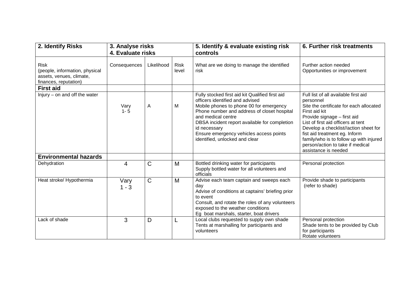| 2. Identify Risks                                                                                  | 3. Analyse risks<br>4. Evaluate risks |              |                      | 5. Identify & evaluate existing risk<br>controls                                                                                                                                                                                                                                                                                                 | 6. Further risk treatments                                                                                                                                                                                                                                                                                                                                          |  |
|----------------------------------------------------------------------------------------------------|---------------------------------------|--------------|----------------------|--------------------------------------------------------------------------------------------------------------------------------------------------------------------------------------------------------------------------------------------------------------------------------------------------------------------------------------------------|---------------------------------------------------------------------------------------------------------------------------------------------------------------------------------------------------------------------------------------------------------------------------------------------------------------------------------------------------------------------|--|
| <b>Risk</b><br>(people, information, physical<br>assets, venues, climate,<br>finances, reputation) | Consequences                          | Likelihood   | <b>Risk</b><br>level | What are we doing to manage the identified<br>risk                                                                                                                                                                                                                                                                                               | Further action needed<br>Opportunities or improvement                                                                                                                                                                                                                                                                                                               |  |
| <b>First aid</b>                                                                                   |                                       |              |                      |                                                                                                                                                                                                                                                                                                                                                  |                                                                                                                                                                                                                                                                                                                                                                     |  |
| Injury - on and off the water                                                                      | Vary<br>$1 - 5$                       | Α            | М                    | Fully stocked first aid kit Qualified first aid<br>officers identified and advised<br>Mobile phones to phone 00 for emergency<br>Phone number and address of closet hospital<br>and medical centre<br>DBSA incident report available for completion<br>id necessary<br>Ensure emergency vehicles access points<br>identified, unlocked and clear | Full list of all available first aid<br>personnel<br>Site the certificate for each allocated<br>First aid kit<br>Provide signage - first aid<br>List of first aid officers at tent<br>Develop a checklist//action sheet for<br>fist aid treatment eg. Inform<br>family/who is to follow up with injured<br>person/action to take if medical<br>assistance is needed |  |
| <b>Environmental hazards</b>                                                                       |                                       |              |                      |                                                                                                                                                                                                                                                                                                                                                  |                                                                                                                                                                                                                                                                                                                                                                     |  |
| Dehydration                                                                                        | 4                                     | $\mathsf{C}$ | M                    | Bottled drinking water for participants<br>Supply bottled water for all volunteers and<br>officials                                                                                                                                                                                                                                              | Personal protection                                                                                                                                                                                                                                                                                                                                                 |  |
| Heat stroke/ Hypothermia                                                                           | Vary<br>$1 - 3$                       | $\mathsf C$  | M                    | Advise each team captain and sweeps each<br>day<br>Advise of conditions at captains' briefing prior<br>to event<br>Consult, and rotate the roles of any volunteers<br>exposed to the weather conditions<br>Eg boat marshals, starter, boat drivers                                                                                               | Provide shade to participants<br>(refer to shade)                                                                                                                                                                                                                                                                                                                   |  |
| Lack of shade                                                                                      | 3                                     | D            |                      | Local clubs requested to supply own shade<br>Tents at marshalling for participants and<br>volunteers                                                                                                                                                                                                                                             | Personal protection<br>Shade tents to be provided by Club<br>for participants<br>Rotate volunteers                                                                                                                                                                                                                                                                  |  |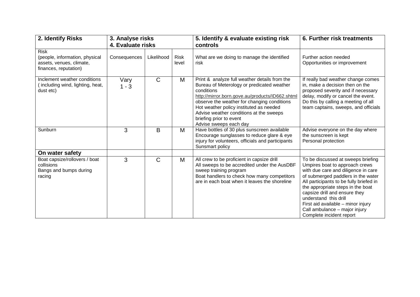| 2. Identify Risks<br>3. Analyse risks<br>4. Evaluate risks                          |                 | 5. Identify & evaluate existing risk<br>controls | 6. Further risk treatments |                                                                                                                                                                                                                                                                                                                                                        |                                                                                                                                                                                                                                                                                                                                                                                                |
|-------------------------------------------------------------------------------------|-----------------|--------------------------------------------------|----------------------------|--------------------------------------------------------------------------------------------------------------------------------------------------------------------------------------------------------------------------------------------------------------------------------------------------------------------------------------------------------|------------------------------------------------------------------------------------------------------------------------------------------------------------------------------------------------------------------------------------------------------------------------------------------------------------------------------------------------------------------------------------------------|
| <b>Risk</b>                                                                         |                 |                                                  |                            |                                                                                                                                                                                                                                                                                                                                                        | Further action needed                                                                                                                                                                                                                                                                                                                                                                          |
| (people, information, physical<br>assets, venues, climate,<br>finances, reputation) | Consequences    | Likelihood                                       | <b>Risk</b><br>level       | What are we doing to manage the identified<br>risk                                                                                                                                                                                                                                                                                                     | Opportunities or improvement                                                                                                                                                                                                                                                                                                                                                                   |
| Inclement weather conditions<br>including wind, lighting, heat,<br>dust etc)        | Vary<br>$1 - 3$ | $\mathsf{C}$                                     | M                          | Print & analyze full weather details from the<br>Bureau of Meterology or predicated weather<br>conditions<br>http://mirror.born.gove.au/products/ID662.shtml<br>observe the weather for changing conditions<br>Hot weather policy instituted as needed<br>Advise weather conditions at the sweeps<br>briefing prior to event<br>Advise sweeps each day | If really bad weather change comes<br>in, make a decision then on the<br>proposed severity and if necessary<br>delay, modify or cancel the event.<br>Do this by calling a meeting of all<br>team captains, sweeps, and officials                                                                                                                                                               |
| Sunburn                                                                             | 3               | B                                                | M                          | Have bottles of 30 plus sunscreen available<br>Encourage sunglasses to reduce glare & eye<br>injury for volunteers, officials and participants<br>Sunsmart policy                                                                                                                                                                                      | Advise everyone on the day where<br>the sunscreen is kept<br>Personal protection                                                                                                                                                                                                                                                                                                               |
| On water safety                                                                     |                 |                                                  |                            |                                                                                                                                                                                                                                                                                                                                                        |                                                                                                                                                                                                                                                                                                                                                                                                |
| Boat capsize/rollovers / boat<br>collisions<br>Bangs and bumps during<br>racing     | 3               | C                                                | M                          | All crew to be proficient in capsize drill<br>All sweeps to be accredited under the AusDBF<br>sweep training program<br>Boat handlers to check how many competitors<br>are in each boat when it leaves the shoreline                                                                                                                                   | To be discussed at sweeps briefing<br>Umpires boat to approach crews<br>with due care and diligence in care<br>of submerged paddlers in the water<br>All participants to be fully briefed in<br>the appropriate steps in the boat<br>capsize drill and ensure they<br>understand this drill<br>First aid available - minor injury<br>Call ambulance - major injury<br>Complete incident report |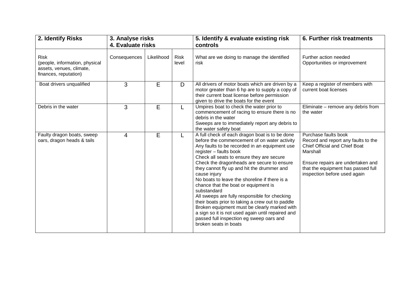| 2. Identify Risks                                                                                  | 3. Analyse risks<br>4. Evaluate risks |            |                      | 5. Identify & evaluate existing risk<br>controls                                                                                                                                                                                                                                                                                                                                                                                                                                                                                                                                                                                                                                                                          | 6. Further risk treatments                                                                                                                                                                                                 |  |
|----------------------------------------------------------------------------------------------------|---------------------------------------|------------|----------------------|---------------------------------------------------------------------------------------------------------------------------------------------------------------------------------------------------------------------------------------------------------------------------------------------------------------------------------------------------------------------------------------------------------------------------------------------------------------------------------------------------------------------------------------------------------------------------------------------------------------------------------------------------------------------------------------------------------------------------|----------------------------------------------------------------------------------------------------------------------------------------------------------------------------------------------------------------------------|--|
| <b>Risk</b><br>(people, information, physical<br>assets, venues, climate,<br>finances, reputation) | Consequences                          | Likelihood | <b>Risk</b><br>level | What are we doing to manage the identified<br>risk                                                                                                                                                                                                                                                                                                                                                                                                                                                                                                                                                                                                                                                                        | Further action needed<br>Opportunities or improvement                                                                                                                                                                      |  |
| Boat drivers unqualified                                                                           | 3                                     | E          | D                    | All drivers of motor boats which are driven by a<br>motor greater than 6 hp are to supply a copy of<br>their current boat license before permission<br>given to drive the boats for the event                                                                                                                                                                                                                                                                                                                                                                                                                                                                                                                             | Keep a register of members with<br>current boat licenses                                                                                                                                                                   |  |
| Debris in the water                                                                                | 3                                     | E          | L.                   | Umpires boat to check the water prior to<br>commencement of racing to ensure there is no<br>debris in the water<br>Sweeps are to immediately report any debris to<br>the water safety boat                                                                                                                                                                                                                                                                                                                                                                                                                                                                                                                                | Eliminate - remove any debris from<br>the water                                                                                                                                                                            |  |
| Faulty dragon boats, sweep<br>oars, dragon heads & tails                                           | $\overline{4}$                        | E          | L                    | A full check of each dragon boat is to be done<br>before the commencement of on water activity<br>Any faults to be recorded in an equipment use<br>register - faults book<br>Check all seats to ensure they are secure<br>Check the dragonheads are secure to ensure<br>they cannot fly up and hit the drummer and<br>cause injury<br>No boats to leave the shoreline if there is a<br>chance that the boat or equipment is<br>substandard<br>All sweeps are fully responsible for checking<br>their boats prior to taking a crew out to paddle<br>Broken equipment must be clearly marked with<br>a sign so it is not used again until repaired and<br>passed full inspection eg sweep oars and<br>broken seats in boats | Purchase faults book<br>Record and report any faults to the<br><b>Chief Official and Chief Boat</b><br>Marshall<br>Ensure repairs are undertaken and<br>that the equipment has passed full<br>inspection before used again |  |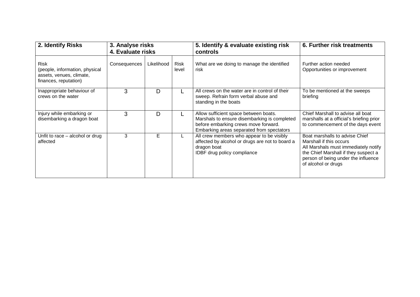| 2. Identify Risks                                                                           | 3. Analyse risks<br>4. Evaluate risks |            |                      | 5. Identify & evaluate existing risk<br>controls                                                                                                                           | 6. Further risk treatments                                                                                                                                                                              |  |
|---------------------------------------------------------------------------------------------|---------------------------------------|------------|----------------------|----------------------------------------------------------------------------------------------------------------------------------------------------------------------------|---------------------------------------------------------------------------------------------------------------------------------------------------------------------------------------------------------|--|
| Risk<br>(people, information, physical<br>assets, venues, climate,<br>finances, reputation) | Consequences                          | Likelihood | <b>Risk</b><br>level | What are we doing to manage the identified<br>risk                                                                                                                         | Further action needed<br>Opportunities or improvement                                                                                                                                                   |  |
| Inappropriate behaviour of<br>crews on the water                                            | 3                                     | D          |                      | All crews on the water are in control of their<br>sweep. Refrain form verbal abuse and<br>standing in the boats                                                            | To be mentioned at the sweeps<br>briefing                                                                                                                                                               |  |
| Injury while embarking or<br>disembarking a dragon boat                                     | 3                                     | D          |                      | Allow sufficient space between boats.<br>Marshals to ensure disembarking is completed<br>before embarking crews move forward.<br>Embarking areas separated from spectators | Chief Marshall to advise all boat<br>marshalls at a official's briefing prior<br>to commencement of the days event                                                                                      |  |
| Unfit to race – alcohol or drug<br>affected                                                 | 3                                     | E          |                      | All crew members who appear to be visibly<br>affected by alcohol or drugs are not to board a<br>dragon boat<br>IDBF drug policy compliance                                 | Boat marshalls to advise Chief<br>Marshall if this occurs<br>All Marshals must immediately notify<br>the Chief Marshall if they suspect a<br>person of being under the influence<br>of alcohol or drugs |  |